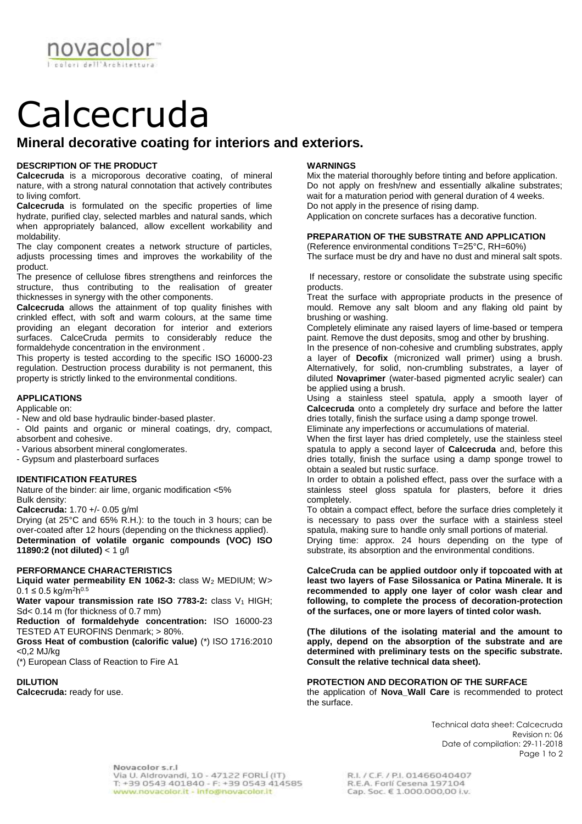Calcecruda

# **Mineral decorative coating for interiors and exteriors.**

# **DESCRIPTION OF THE PRODUCT**

novaco

**Calcecruda** is a microporous decorative coating, of mineral nature, with a strong natural connotation that actively contributes to living comfort.

**Calcecruda** is formulated on the specific properties of lime hydrate, purified clay, selected marbles and natural sands, which when appropriately balanced, allow excellent workability and moldability.

The clay component creates a network structure of particles, adjusts processing times and improves the workability of the product.

The presence of cellulose fibres strengthens and reinforces the structure, thus contributing to the realisation of greater thicknesses in synergy with the other components.

**Calcecruda** allows the attainment of top quality finishes with crinkled effect, with soft and warm colours, at the same time providing an elegant decoration for interior and exteriors surfaces. CalceCruda permits to considerably reduce the formaldehyde concentration in the environment .

This property is tested according to the specific ISO 16000-23 regulation. Destruction process durability is not permanent, this property is strictly linked to the environmental conditions.

## **APPLICATIONS**

Applicable on:

- New and old base hydraulic binder-based plaster.

- Old paints and organic or mineral coatings, dry, compact, absorbent and cohesive.

- Various absorbent mineral conglomerates.
- Gypsum and plasterboard surfaces

## **IDENTIFICATION FEATURES**

Nature of the binder: air lime, organic modification <5% Bulk density:

**Calcecruda:** 1.70 +/- 0.05 g/ml

Drying (at 25°C and 65% R.H.): to the touch in 3 hours; can be over-coated after 12 hours (depending on the thickness applied). **Determination of volatile organic compounds (VOC) ISO 11890:2 (not diluted)** < 1 g/l

## **PERFORMANCE CHARACTERISTICS**

**Liquid water permeability EN 1062-3:** class W<sup>2</sup> MEDIUM; W> 0.1 ≤ 0.5 kg/m<sup>2</sup>h<sup>0.5</sup>

**Water vapour transmission rate ISO 7783-2:** class V<sub>1</sub> HIGH; Sd< 0.14 m (for thickness of 0.7 mm)

**Reduction of formaldehyde concentration:** ISO 16000-23 TESTED AT EUROFINS Denmark; > 80%.

**Gross Heat of combustion (calorific value)** (\*) ISO 1716:2010 <0,2 MJ/kg

(\*) European Class of Reaction to Fire A1

# **DILUTION**

**Calcecruda:** ready for use.

## **WARNINGS**

Mix the material thoroughly before tinting and before application. Do not apply on fresh/new and essentially alkaline substrates; wait for a maturation period with general duration of 4 weeks. Do not apply in the presence of rising damp.

Application on concrete surfaces has a decorative function.

# **PREPARATION OF THE SUBSTRATE AND APPLICATION**

(Reference environmental conditions T=25°C, RH=60%) The surface must be dry and have no dust and mineral salt spots.

If necessary, restore or consolidate the substrate using specific products.

Treat the surface with appropriate products in the presence of mould. Remove any salt bloom and any flaking old paint by brushing or washing.

Completely eliminate any raised layers of lime-based or tempera paint. Remove the dust deposits, smog and other by brushing.

In the presence of non-cohesive and crumbling substrates, apply a layer of **Decofix** (micronized wall primer) using a brush. Alternatively, for solid, non-crumbling substrates, a layer of diluted **Novaprimer** (water-based pigmented acrylic sealer) can be applied using a brush.

Using a stainless steel spatula, apply a smooth layer of **Calcecruda** onto a completely dry surface and before the latter dries totally, finish the surface using a damp sponge trowel.

Eliminate any imperfections or accumulations of material.

When the first layer has dried completely, use the stainless steel spatula to apply a second layer of **Calcecruda** and, before this dries totally, finish the surface using a damp sponge trowel to obtain a sealed but rustic surface.

In order to obtain a polished effect, pass over the surface with a stainless steel gloss spatula for plasters, before it dries completely.

To obtain a compact effect, before the surface dries completely it is necessary to pass over the surface with a stainless steel spatula, making sure to handle only small portions of material.

Drying time: approx. 24 hours depending on the type of substrate, its absorption and the environmental conditions.

**CalceCruda can be applied outdoor only if topcoated with at least two layers of Fase Silossanica or Patina Minerale. It is recommended to apply one layer of color wash clear and following, to complete the process of decoration-protection of the surfaces, one or more layers of tinted color wash.** 

**(The dilutions of the isolating material and the amount to apply, depend on the absorption of the substrate and are determined with preliminary tests on the specific substrate. Consult the relative technical data sheet).**

# **PROTECTION AND DECORATION OF THE SURFACE**

the application of **Nova\_Wall Care** is recommended to protect the surface.

> Technical data sheet: Calcecruda Revision n: 06 Date of compilation: 29-11-2018 Page 1 to 2